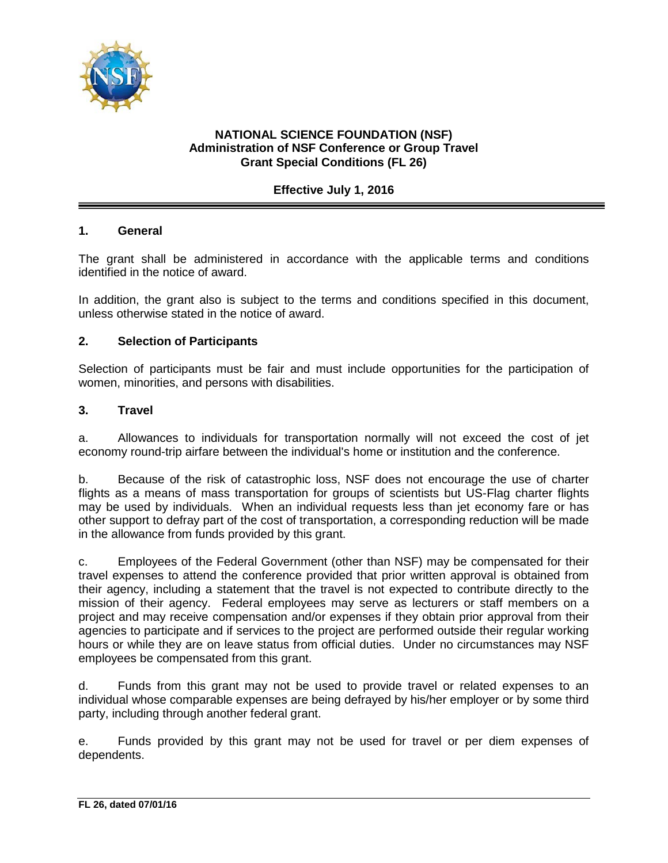

# **NATIONAL SCIENCE FOUNDATION (NSF) Administration of NSF Conference or Group Travel Grant Special Conditions (FL 26)**

## **Effective July 1, 2016**

### **1. General**

The grant shall be administered in accordance with the applicable terms and conditions identified in the notice of award.

In addition, the grant also is subject to the terms and conditions specified in this document, unless otherwise stated in the notice of award.

### **2. Selection of Participants**

Selection of participants must be fair and must include opportunities for the participation of women, minorities, and persons with disabilities.

#### **3. Travel**

a. Allowances to individuals for transportation normally will not exceed the cost of jet economy round-trip airfare between the individual's home or institution and the conference.

b. Because of the risk of catastrophic loss, NSF does not encourage the use of charter flights as a means of mass transportation for groups of scientists but US-Flag charter flights may be used by individuals. When an individual requests less than jet economy fare or has other support to defray part of the cost of transportation, a corresponding reduction will be made in the allowance from funds provided by this grant.

c. Employees of the Federal Government (other than NSF) may be compensated for their travel expenses to attend the conference provided that prior written approval is obtained from their agency, including a statement that the travel is not expected to contribute directly to the mission of their agency. Federal employees may serve as lecturers or staff members on a project and may receive compensation and/or expenses if they obtain prior approval from their agencies to participate and if services to the project are performed outside their regular working hours or while they are on leave status from official duties. Under no circumstances may NSF employees be compensated from this grant.

d. Funds from this grant may not be used to provide travel or related expenses to an individual whose comparable expenses are being defrayed by his/her employer or by some third party, including through another federal grant.

e. Funds provided by this grant may not be used for travel or per diem expenses of dependents.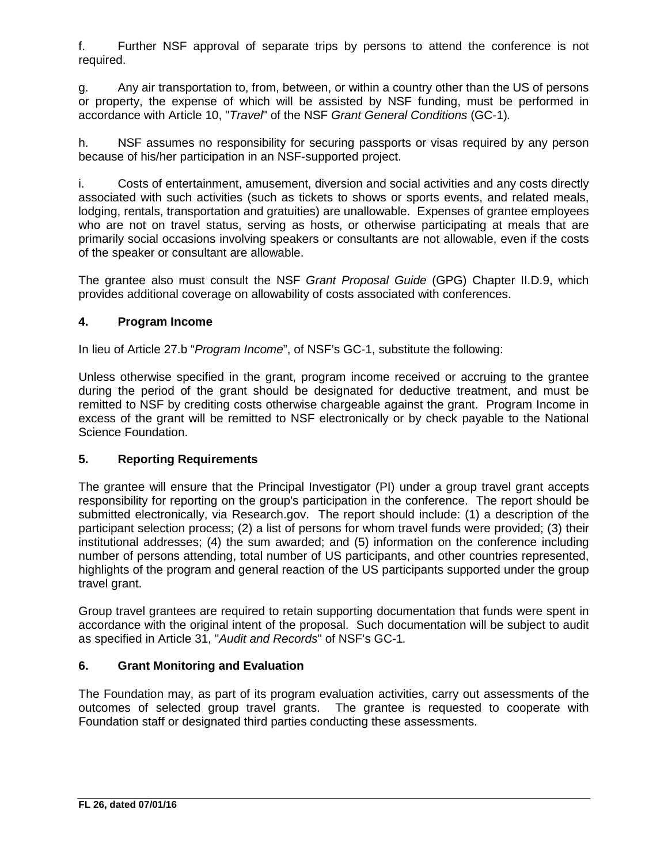f. Further NSF approval of separate trips by persons to attend the conference is not required.

g. Any air transportation to, from, between, or within a country other than the US of persons or property, the expense of which will be assisted by NSF funding, must be performed in accordance with Article 10, "*Travel*" of the NSF *Grant General Conditions* (GC-1)*.*

h. NSF assumes no responsibility for securing passports or visas required by any person because of his/her participation in an NSF-supported project.

i. Costs of entertainment, amusement, diversion and social activities and any costs directly associated with such activities (such as tickets to shows or sports events, and related meals, lodging, rentals, transportation and gratuities) are unallowable. Expenses of grantee employees who are not on travel status, serving as hosts, or otherwise participating at meals that are primarily social occasions involving speakers or consultants are not allowable, even if the costs of the speaker or consultant are allowable.

The grantee also must consult the NSF *Grant Proposal Guide* (GPG) Chapter II.D.9, which provides additional coverage on allowability of costs associated with conferences.

# **4. Program Income**

In lieu of Article 27.b "*Program Income*", of NSF's GC-1, substitute the following:

Unless otherwise specified in the grant, program income received or accruing to the grantee during the period of the grant should be designated for deductive treatment, and must be remitted to NSF by crediting costs otherwise chargeable against the grant. Program Income in excess of the grant will be remitted to NSF electronically or by check payable to the National Science Foundation.

### **5. Reporting Requirements**

The grantee will ensure that the Principal Investigator (PI) under a group travel grant accepts responsibility for reporting on the group's participation in the conference. The report should be submitted electronically, via Research.gov. The report should include: (1) a description of the participant selection process; (2) a list of persons for whom travel funds were provided; (3) their institutional addresses; (4) the sum awarded; and (5) information on the conference including number of persons attending, total number of US participants, and other countries represented, highlights of the program and general reaction of the US participants supported under the group travel grant.

Group travel grantees are required to retain supporting documentation that funds were spent in accordance with the original intent of the proposal. Such documentation will be subject to audit as specified in Article 31, "*Audit and Records*" of NSF's GC-1*.*

# **6. Grant Monitoring and Evaluation**

The Foundation may, as part of its program evaluation activities, carry out assessments of the outcomes of selected group travel grants. The grantee is requested to cooperate with Foundation staff or designated third parties conducting these assessments.